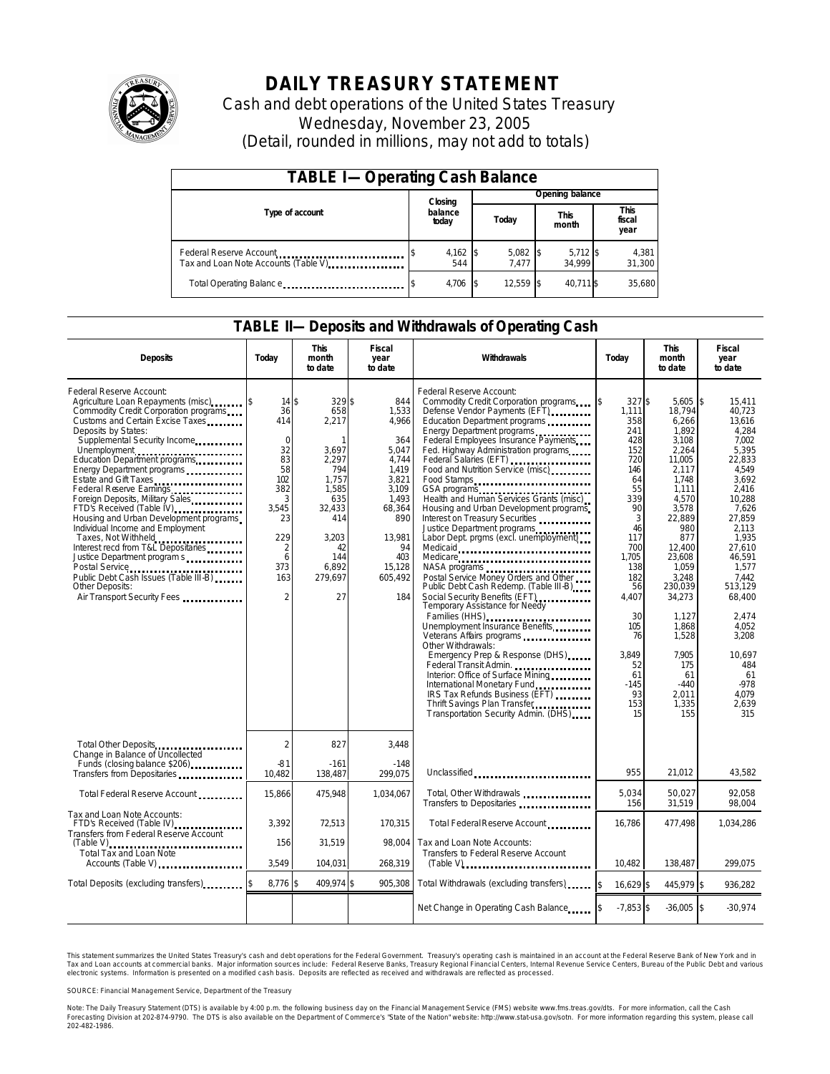

# **DAILY TREASURY STATEMENT**

Cash and debt operations of the United States Treasury Wednesday, November 23, 2005 (Detail, rounded in millions, may not add to totals)

| <b>TABLE I-Operating Cash Balance</b>                            |                  |                   |  |                     |  |                      |  |                        |  |
|------------------------------------------------------------------|------------------|-------------------|--|---------------------|--|----------------------|--|------------------------|--|
|                                                                  |                  | Closing           |  | Opening balance     |  |                      |  |                        |  |
| Type of account                                                  | balance<br>today |                   |  | Today               |  | <b>This</b><br>month |  | This<br>fiscal<br>year |  |
| Federal Reserve Account<br>Tax and Loan Note Accounts (Table V). |                  | $4,162$ \$<br>544 |  | $5,082$ \$<br>7.477 |  | $5,712$ \$<br>34.999 |  | 4,381<br>31,300        |  |
| Total Operating Balance                                          |                  | 4,706             |  | 12.559 \$           |  | 40.711 \$            |  | 35,680                 |  |

#### **TABLE II—Deposits and Withdrawals of Operating Cash**

| <b>Deposits</b>                                                                                                                                                                                                                                                                                                                                                                                                                                                                                                                                                                                                                                                                                             | Today                                                                                                                                             | <b>This</b><br>month<br>to date                                                                                                                | <b>Fiscal</b><br>year<br>to date                                                                                                                       | Withdrawals                                                                                                                                                                                                                                                                                                                                                                                                                                                                                                                                                                                                                                                                                                                                                                                                                                                                                                                                                                                                                                                                       | Today                                                                                                                                                                                                                          | <b>This</b><br>month<br>to date                                                                                                                                                                                                                                                   | <b>Fiscal</b><br>year<br>to date                                                                                                                                                                                                                                                                |
|-------------------------------------------------------------------------------------------------------------------------------------------------------------------------------------------------------------------------------------------------------------------------------------------------------------------------------------------------------------------------------------------------------------------------------------------------------------------------------------------------------------------------------------------------------------------------------------------------------------------------------------------------------------------------------------------------------------|---------------------------------------------------------------------------------------------------------------------------------------------------|------------------------------------------------------------------------------------------------------------------------------------------------|--------------------------------------------------------------------------------------------------------------------------------------------------------|-----------------------------------------------------------------------------------------------------------------------------------------------------------------------------------------------------------------------------------------------------------------------------------------------------------------------------------------------------------------------------------------------------------------------------------------------------------------------------------------------------------------------------------------------------------------------------------------------------------------------------------------------------------------------------------------------------------------------------------------------------------------------------------------------------------------------------------------------------------------------------------------------------------------------------------------------------------------------------------------------------------------------------------------------------------------------------------|--------------------------------------------------------------------------------------------------------------------------------------------------------------------------------------------------------------------------------|-----------------------------------------------------------------------------------------------------------------------------------------------------------------------------------------------------------------------------------------------------------------------------------|-------------------------------------------------------------------------------------------------------------------------------------------------------------------------------------------------------------------------------------------------------------------------------------------------|
| Federal Reserve Account:<br>Agriculture Loan Repayments (misc) [5]<br>Commodity Credit Corporation programs<br>Customs and Certain Excise Taxes<br>Deposits by States:<br>Supplemental Security Income<br>Unemployment<br>Education Department programs<br>Energy Department programs<br>Estate and Gift Taxes<br>Federal Reserve Earnings<br>Foreign Deposits, Military Sales<br>FTD's Received (Table IV)<br>Housing and Urban Development programs<br>Individual Income and Employment<br>Taxes, Not Withheld<br>Interest recd from T&L Depositaries<br>Justice Department program s<br>Postal Service<br>Public Debt Cash Issues (Table III-B)<br><b>Other Deposits:</b><br>Air Transport Security Fees | 14S<br>36<br>414<br>$\mathbf 0$<br>32<br>83<br>58<br>102<br>382<br>3<br>3,545<br>23<br>229<br>$\overline{2}$<br>6<br>373<br>163<br>$\overline{2}$ | 329\$<br>658<br>2,217<br>-1<br>3.697<br>2.297<br>794<br>1.757<br>1,585<br>635<br>32,433<br>414<br>3.203<br>42<br>144<br>6.892<br>279,697<br>27 | 844<br>1,533<br>4,966<br>364<br>5.047<br>4,744<br>1.419<br>3,821<br>3,109<br>1.493<br>68,364<br>890<br>13.981<br>94<br>403<br>15,128<br>605,492<br>184 | Federal Reserve Account:<br>Commodity Credit Corporation programs<br>Defense Vendor Payments (EFT)<br>Education Department programs<br>Energy Department programs<br>Federal Employees Insurance Payments<br>Fed. Highway Administration programs<br>Federal Salaries (EFT)<br>Food and Nutrition Service (misc)<br>Food Stamps<br>GSA programs<br>Health and Human Services Grants (misc)<br>Housing and Urban Development programs<br>Interest on Treasury Securities<br>Justice Department programs<br>Labor Dept. prgms (excl. unemployment)<br>Medicaid<br>Medicare<br>NASA programs<br>Postal Service Money Orders and Other<br>Public Debt Cash Redemp. (Table III-B)<br>Social Security Benefits (EFT)<br><br>Temporary Assistance for Needy<br>Families (HHS)<br><br>Unemployment Insurance Benefits<br>Other Withdrawals:<br>Emergency Prep & Response (DHS)<br>Federal Transit Admin.<br>Interior: Office of Surface Mining.<br>International Monetary Fund<br>IRS Tax Refunds Business (EFT)<br>Thrift Savings Plan Transfer.<br>Transportation Security Admin. (DHS) | $327$ \$<br>\$<br>1,111<br>358<br>241<br>428<br>152<br>720<br>146<br>64<br>55<br>339<br>90<br>3<br>46<br>117<br>700<br>1,705<br>138<br>182<br>56<br>4,407<br>30<br>105<br>76<br>3.849<br>52<br>61<br>$-145$<br>93<br>153<br>15 | 5,605<br>18,794<br>6,266<br>1.892<br>3,108<br>2.264<br>11.005<br>2.117<br>1.748<br>1,111<br>4.570<br>3,578<br>22.889<br>980<br>877<br>12.400<br>23,608<br>1,059<br>3,248<br>230,039<br>34,273<br>1.127<br>1,868<br>1,528<br>7.905<br>175<br>61<br>$-440$<br>2.011<br>1,335<br>155 | \$<br>15,411<br>40,723<br>13,616<br>4.284<br>7,002<br>5.395<br>22.833<br>4.549<br>3.692<br>2,416<br>10.288<br>7,626<br>27.859<br>2.113<br>1.935<br>27.610<br>46,591<br>1.577<br>7.442<br>513.129<br>68,400<br>2.474<br>4,052<br>3,208<br>10.697<br>484<br>61<br>$-978$<br>4.079<br>2,639<br>315 |
| Total Other Deposits<br>Change in Balance of Uncollected                                                                                                                                                                                                                                                                                                                                                                                                                                                                                                                                                                                                                                                    | $\overline{2}$                                                                                                                                    | 827                                                                                                                                            | 3.448                                                                                                                                                  |                                                                                                                                                                                                                                                                                                                                                                                                                                                                                                                                                                                                                                                                                                                                                                                                                                                                                                                                                                                                                                                                                   |                                                                                                                                                                                                                                |                                                                                                                                                                                                                                                                                   |                                                                                                                                                                                                                                                                                                 |
| Funds (closing balance \$206)<br>Funds (closing balance \$206)<br>Transfers from Depositaries                                                                                                                                                                                                                                                                                                                                                                                                                                                                                                                                                                                                               | $-81$<br>10.482                                                                                                                                   | $-161$<br>138,487                                                                                                                              | $-148$<br>299.075                                                                                                                                      | Unclassified                                                                                                                                                                                                                                                                                                                                                                                                                                                                                                                                                                                                                                                                                                                                                                                                                                                                                                                                                                                                                                                                      | 955                                                                                                                                                                                                                            | 21.012                                                                                                                                                                                                                                                                            | 43,582                                                                                                                                                                                                                                                                                          |
| Total Federal Reserve Account                                                                                                                                                                                                                                                                                                                                                                                                                                                                                                                                                                                                                                                                               | 15,866                                                                                                                                            | 475,948                                                                                                                                        | 1,034,067                                                                                                                                              | Total, Other Withdrawals<br>Transfers to Depositaries                                                                                                                                                                                                                                                                                                                                                                                                                                                                                                                                                                                                                                                                                                                                                                                                                                                                                                                                                                                                                             | 5.034<br>156                                                                                                                                                                                                                   | 50.027<br>31,519                                                                                                                                                                                                                                                                  | 92.058<br>98,004                                                                                                                                                                                                                                                                                |
| Tax and Loan Note Accounts:<br>FTD's Received (Table IV)<br>Transfers from Federal Reserve Account                                                                                                                                                                                                                                                                                                                                                                                                                                                                                                                                                                                                          | 3,392                                                                                                                                             | 72,513                                                                                                                                         | 170,315                                                                                                                                                | Total Federal Reserve Account                                                                                                                                                                                                                                                                                                                                                                                                                                                                                                                                                                                                                                                                                                                                                                                                                                                                                                                                                                                                                                                     | 16,786                                                                                                                                                                                                                         | 477,498                                                                                                                                                                                                                                                                           | 1,034,286                                                                                                                                                                                                                                                                                       |
| <b>Total Tax and Loan Note</b><br>Accounts (Table V)                                                                                                                                                                                                                                                                                                                                                                                                                                                                                                                                                                                                                                                        | 156<br>3.549                                                                                                                                      | 31,519<br>104,031                                                                                                                              | 98.004<br>268,319                                                                                                                                      | Tax and Loan Note Accounts:<br>Transfers to Federal Reserve Account                                                                                                                                                                                                                                                                                                                                                                                                                                                                                                                                                                                                                                                                                                                                                                                                                                                                                                                                                                                                               | 10.482                                                                                                                                                                                                                         | 138,487                                                                                                                                                                                                                                                                           | 299.075                                                                                                                                                                                                                                                                                         |
| Total Deposits (excluding transfers)                                                                                                                                                                                                                                                                                                                                                                                                                                                                                                                                                                                                                                                                        | 8,776 \$                                                                                                                                          | 409,974                                                                                                                                        | l\$<br>905,308                                                                                                                                         | Total Withdrawals (excluding transfers)                                                                                                                                                                                                                                                                                                                                                                                                                                                                                                                                                                                                                                                                                                                                                                                                                                                                                                                                                                                                                                           | $\mathsf{s}$<br>16.629 \$                                                                                                                                                                                                      | 445.979 \$                                                                                                                                                                                                                                                                        | 936.282                                                                                                                                                                                                                                                                                         |
|                                                                                                                                                                                                                                                                                                                                                                                                                                                                                                                                                                                                                                                                                                             |                                                                                                                                                   |                                                                                                                                                |                                                                                                                                                        | Net Change in Operating Cash Balance                                                                                                                                                                                                                                                                                                                                                                                                                                                                                                                                                                                                                                                                                                                                                                                                                                                                                                                                                                                                                                              | $-7.853$ \$                                                                                                                                                                                                                    | $-36.005$ \$                                                                                                                                                                                                                                                                      | $-30,974$                                                                                                                                                                                                                                                                                       |

This statement summarizes the United States Treasury's cash and debt operations for the Federal Government. Treasury's operating cash is maintained in an account at the Federal Reserve Bank of New York and in Tax and Loan accounts at commercial banks. Major information sources include: Federal Reserve Banks, Treasury Regional Financial Centers, Internal Revenue Service Centers, Bureau of the Public Debt and various<br>electronic s

SOURCE: Financial Management Service, Department of the Treasury

Note: The Daily Treasury Statement (DTS) is available by 4:00 p.m. the following business day on the Financial Management Service (FMS) website www.fms.treas.gov/dts.<br>Forecasting Division at 202-874-9790. The DTS is also a 'S) is available by 4:00 p.m. the following business day on the Financial Management Service (FMS) website www.fms.treas.gov/dts. For more information, call the Cash<br>The DTS is also available on the Department of Commerce'